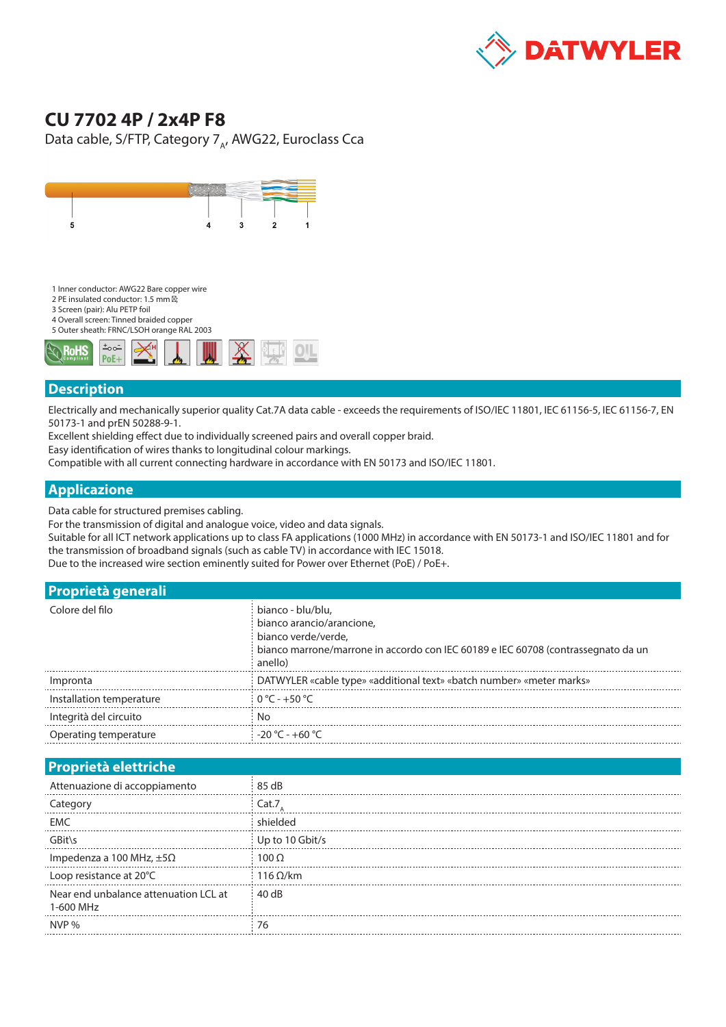

## **CU 7702 4P / 2x4P F8**

Data cable, S/FTP, Category  $7_A$ , AWG22, Euroclass Cca



- 1 Inner conductor: AWG22 Bare copper wire
- 2 PE insulated conductor: 1.5 mm
- 3 Screen (pair): Alu PETP foil
- 4 Overall screen: Tinned braided copper 5 Outer sheath: FRNC/LSOH orange RAL 2003



## **Description**

Electrically and mechanically superior quality Cat.7A data cable - exceeds the requirements of ISO/IEC 11801, IEC 61156-5, IEC 61156-7, EN 50173-1 and prEN 50288-9-1.

Excellent shielding effect due to individually screened pairs and overall copper braid.

Easy identification of wires thanks to longitudinal colour markings.

Compatible with all current connecting hardware in accordance with EN 50173 and ISO/IEC 11801.

## **Applicazione**

Data cable for structured premises cabling.

For the transmission of digital and analogue voice, video and data signals.

Suitable for all ICT network applications up to class FA applications (1000 MHz) in accordance with EN 50173-1 and ISO/IEC 11801 and for the transmission of broadband signals (such as cable TV) in accordance with IEC 15018.

Due to the increased wire section eminently suited for Power over Ethernet (PoE) / PoE+.

| <b>Proprietà generali</b> |                                                                                                                                                                       |
|---------------------------|-----------------------------------------------------------------------------------------------------------------------------------------------------------------------|
| Colore del filo           | bianco - blu/blu,<br>bianco arancio/arancione,<br>bianco verde/verde.<br>bianco marrone/marrone in accordo con IEC 60189 e IEC 60708 (contrassegnato da un<br>anello) |
| Impronta                  | DATWYLER «cable type» «additional text» «batch number» «meter marks»                                                                                                  |
| Installation temperature  | $0^{\circ}$ C - +50 $^{\circ}$ C                                                                                                                                      |
| Integrità del circuito    |                                                                                                                                                                       |
| Operating temperature     | $-20 °C - +60 °C$                                                                                                                                                     |

## **Proprietà elettriche**

| Attenuazione di accoppiamento                      | 85 dB           |
|----------------------------------------------------|-----------------|
| Category                                           | Cat.7           |
| <b>EMC</b>                                         | hielded         |
| GBit\<                                             | Up to 10 Gbit/s |
| Impedenza a 100 MHz, $\pm 5\Omega$                 | 100 O           |
| Loop resistance at 20°C                            | $116$ O/km      |
| Near end unbalance attenuation LCL at<br>1-600 MHz | $\pm$ 40 dB     |
| NVP %                                              |                 |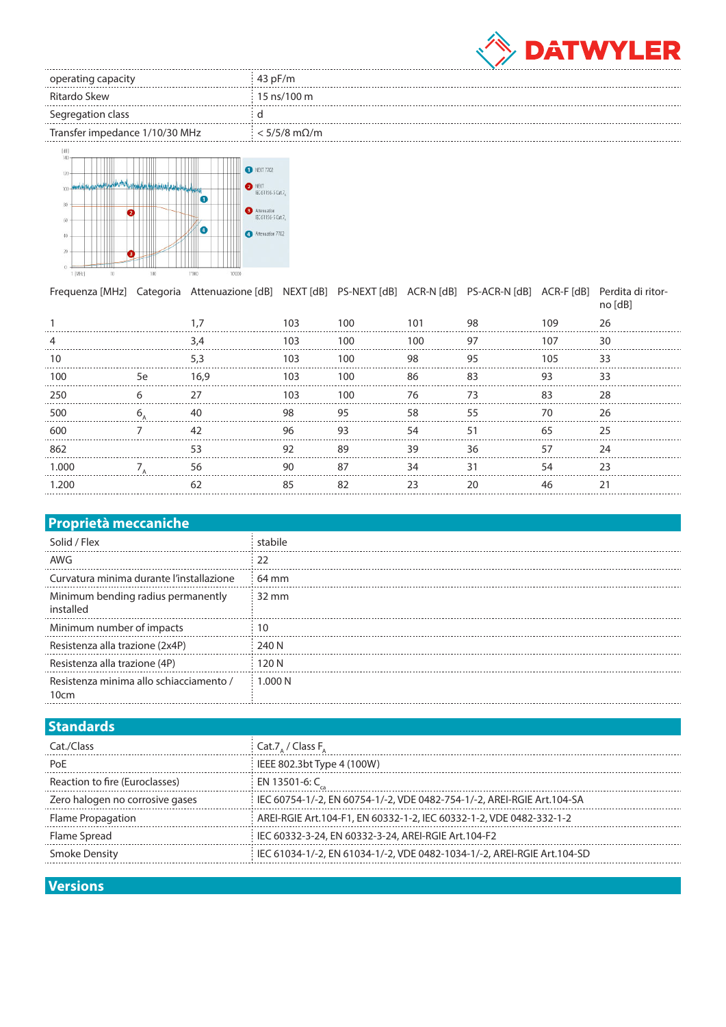

| operating capacity             | 43 pF/m                 |
|--------------------------------|-------------------------|
| Ritardo Skew                   | $\pm$ 15 ns/100 m       |
| Segregation class              |                         |
| Transfer impedance 1/10/30 MHz | $<$ 5/5/8 m $\Omega$ /m |



|       |    | Frequenza [MHz] Categoria Attenuazione [dB] NEXT [dB] PS-NEXT [dB] ACR-N [dB] PS-ACR-N [dB] ACR-F [dB] Perdita di ritor- |     |     |            |     |                             | no [dB] |
|-------|----|--------------------------------------------------------------------------------------------------------------------------|-----|-----|------------|-----|-----------------------------|---------|
|       |    |                                                                                                                          | 103 | 100 | 101        | 98  | 109                         | 26      |
|       |    | 3.4                                                                                                                      | 103 | 100 | 100        | 97  | 107                         | 30      |
| 10    |    | 5.3                                                                                                                      | 103 | 100 | - 98<br>95 |     | 105                         | 33      |
| 100   | 5e | 16.9                                                                                                                     | 103 | 100 | 86         | -83 | 93                          | 33      |
| 250   | 6  |                                                                                                                          | 103 | 100 | 76         | 73  | 83                          | 28      |
| 500   | 6  |                                                                                                                          | 98  | 95  | 58         | 55  | 70.                         |         |
| 600   |    | 42                                                                                                                       | 96  | 93  | 54         | 51  | 65<br>--------------------- |         |
| 862   |    | 53                                                                                                                       | 92  | 89  | 39<br>36   |     | 57                          | 24      |
| 1.000 |    | 56                                                                                                                       | 90  | 87  | 34         | 31  | 54                          | 23      |
| 1 200 |    | 62                                                                                                                       | 85  | 82  | つろ         | 20  | 46                          |         |
|       |    |                                                                                                                          |     |     |            |     |                             |         |

| <b>Proprietà meccaniche</b>                     |                 |
|-------------------------------------------------|-----------------|
| Solid / Flex                                    | stabile         |
| AWG                                             | 22              |
| Curvatura minima durante l'installazione        | 64 mm           |
| Minimum bending radius permanently<br>installed | $32 \text{ mm}$ |
| Minimum number of impacts                       | 10              |
| Resistenza alla trazione (2x4P)                 | 240 N           |
| Resistenza alla trazione (4P)                   | 120 N           |
| Resistenza minima allo schiacciamento /<br>10cm | 1.000 N         |

| Cat.7, / Class F,                                                        |
|--------------------------------------------------------------------------|
| IEEE 802.3bt Type 4 (100W)                                               |
| EN 13501-6: C                                                            |
| i IEC 60754-1/-2. EN 60754-1/-2. VDE 0482-754-1/-2. AREI-RGIE Art.104-SA |
| AREI-RGIE Art.104-F1, EN 60332-1-2, IEC 60332-1-2, VDE 0482-332-1-2      |
| IEC 60332-3-24, EN 60332-3-24, AREI-RGIE Art.104-F2                      |
| IEC 61034-1/-2, EN 61034-1/-2, VDE 0482-1034-1/-2, AREI-RGIE Art.104-SD  |
|                                                                          |

**Versions**